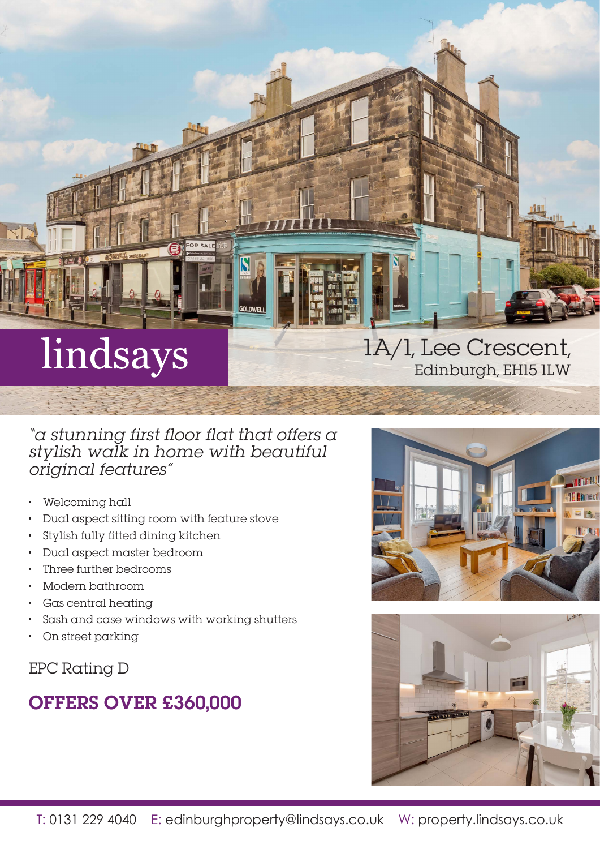

"a stunning first floor flat that offers a stylish walk in home with beautiful original features"

- Welcoming hall
- Dual aspect sitting room with feature stove
- Stylish fully fitted dining kitchen
- Dual aspect master bedroom
- Three further bedrooms
- Modern bathroom
- Gas central heating
- Sash and case windows with working shutters
- On street parking

EPC Rating D

# OFFERS OVER £360,000